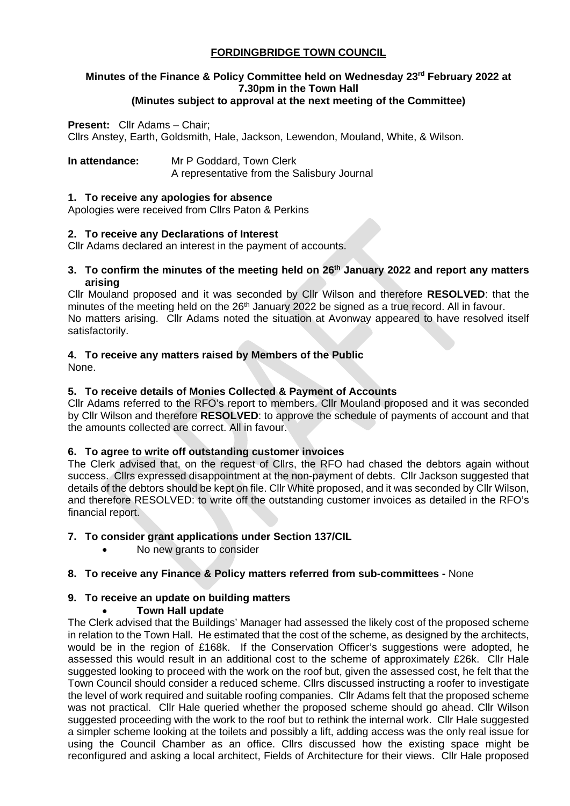## **FORDINGBRIDGE TOWN COUNCIL**

## **Minutes of the Finance & Policy Committee held on Wednesday 23rd February 2022 at 7.30pm in the Town Hall**

## **(Minutes subject to approval at the next meeting of the Committee)**

#### **Present:** Cllr Adams – Chair;

Cllrs Anstey, Earth, Goldsmith, Hale, Jackson, Lewendon, Mouland, White, & Wilson.

**In attendance:** Mr P Goddard, Town Clerk

A representative from the Salisbury Journal

#### **1. To receive any apologies for absence**

Apologies were received from Cllrs Paton & Perkins

#### **2. To receive any Declarations of Interest**

Cllr Adams declared an interest in the payment of accounts.

#### **3. To confirm the minutes of the meeting held on 26th January 2022 and report any matters arising**

Cllr Mouland proposed and it was seconded by Cllr Wilson and therefore **RESOLVED**: that the minutes of the meeting held on the  $26<sup>th</sup>$  January 2022 be signed as a true record. All in favour. No matters arising. Cllr Adams noted the situation at Avonway appeared to have resolved itself satisfactorily.

## **4. To receive any matters raised by Members of the Public**

None.

## **5. To receive details of Monies Collected & Payment of Accounts**

Cllr Adams referred to the RFO's report to members. Cllr Mouland proposed and it was seconded by Cllr Wilson and therefore **RESOLVED**: to approve the schedule of payments of account and that the amounts collected are correct. All in favour.

#### **6. To agree to write off outstanding customer invoices**

The Clerk advised that, on the request of Cllrs, the RFO had chased the debtors again without success. Cllrs expressed disappointment at the non-payment of debts. Cllr Jackson suggested that details of the debtors should be kept on file. Cllr White proposed, and it was seconded by Cllr Wilson, and therefore RESOLVED: to write off the outstanding customer invoices as detailed in the RFO's financial report.

#### **7. To consider grant applications under Section 137/CIL**

• No new grants to consider

#### **8. To receive any Finance & Policy matters referred from sub-committees -** None

#### **9. To receive an update on building matters**

#### • **Town Hall update**

The Clerk advised that the Buildings' Manager had assessed the likely cost of the proposed scheme in relation to the Town Hall. He estimated that the cost of the scheme, as designed by the architects, would be in the region of £168k. If the Conservation Officer's suggestions were adopted, he assessed this would result in an additional cost to the scheme of approximately £26k. Cllr Hale suggested looking to proceed with the work on the roof but, given the assessed cost, he felt that the Town Council should consider a reduced scheme. Cllrs discussed instructing a roofer to investigate the level of work required and suitable roofing companies. Cllr Adams felt that the proposed scheme was not practical. Cllr Hale queried whether the proposed scheme should go ahead. Cllr Wilson suggested proceeding with the work to the roof but to rethink the internal work. Cllr Hale suggested a simpler scheme looking at the toilets and possibly a lift, adding access was the only real issue for using the Council Chamber as an office. Cllrs discussed how the existing space might be reconfigured and asking a local architect, Fields of Architecture for their views. Cllr Hale proposed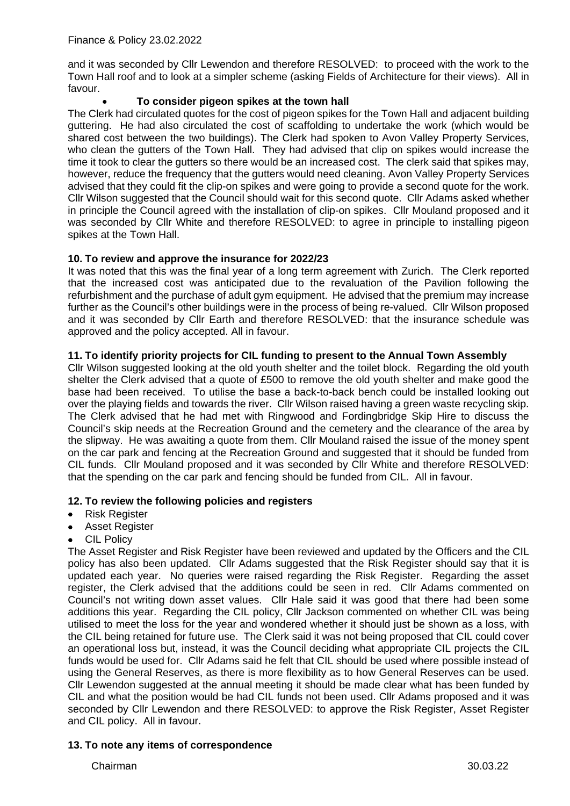and it was seconded by Cllr Lewendon and therefore RESOLVED: to proceed with the work to the Town Hall roof and to look at a simpler scheme (asking Fields of Architecture for their views). All in favour.

## • **To consider pigeon spikes at the town hall**

The Clerk had circulated quotes for the cost of pigeon spikes for the Town Hall and adjacent building guttering. He had also circulated the cost of scaffolding to undertake the work (which would be shared cost between the two buildings). The Clerk had spoken to Avon Valley Property Services, who clean the gutters of the Town Hall. They had advised that clip on spikes would increase the time it took to clear the gutters so there would be an increased cost. The clerk said that spikes may, however, reduce the frequency that the gutters would need cleaning. Avon Valley Property Services advised that they could fit the clip-on spikes and were going to provide a second quote for the work. Cllr Wilson suggested that the Council should wait for this second quote. Cllr Adams asked whether in principle the Council agreed with the installation of clip-on spikes. Cllr Mouland proposed and it was seconded by Cllr White and therefore RESOLVED: to agree in principle to installing pigeon spikes at the Town Hall.

## **10. To review and approve the insurance for 2022/23**

It was noted that this was the final year of a long term agreement with Zurich. The Clerk reported that the increased cost was anticipated due to the revaluation of the Pavilion following the refurbishment and the purchase of adult gym equipment. He advised that the premium may increase further as the Council's other buildings were in the process of being re-valued. Cllr Wilson proposed and it was seconded by Cllr Earth and therefore RESOLVED: that the insurance schedule was approved and the policy accepted. All in favour.

## **11. To identify priority projects for CIL funding to present to the Annual Town Assembly**

Cllr Wilson suggested looking at the old youth shelter and the toilet block. Regarding the old youth shelter the Clerk advised that a quote of £500 to remove the old youth shelter and make good the base had been received. To utilise the base a back-to-back bench could be installed looking out over the playing fields and towards the river. Cllr Wilson raised having a green waste recycling skip. The Clerk advised that he had met with Ringwood and Fordingbridge Skip Hire to discuss the Council's skip needs at the Recreation Ground and the cemetery and the clearance of the area by the slipway. He was awaiting a quote from them. Cllr Mouland raised the issue of the money spent on the car park and fencing at the Recreation Ground and suggested that it should be funded from CIL funds. Cllr Mouland proposed and it was seconded by Cllr White and therefore RESOLVED: that the spending on the car park and fencing should be funded from CIL. All in favour.

#### **12. To review the following policies and registers**

- Risk Register
- Asset Register
- **CIL Policy**

The Asset Register and Risk Register have been reviewed and updated by the Officers and the CIL policy has also been updated. Cllr Adams suggested that the Risk Register should say that it is updated each year. No queries were raised regarding the Risk Register. Regarding the asset register, the Clerk advised that the additions could be seen in red. Cllr Adams commented on Council's not writing down asset values. Cllr Hale said it was good that there had been some additions this year. Regarding the CIL policy, Cllr Jackson commented on whether CIL was being utilised to meet the loss for the year and wondered whether it should just be shown as a loss, with the CIL being retained for future use. The Clerk said it was not being proposed that CIL could cover an operational loss but, instead, it was the Council deciding what appropriate CIL projects the CIL funds would be used for. Cllr Adams said he felt that CIL should be used where possible instead of using the General Reserves, as there is more flexibility as to how General Reserves can be used. Cllr Lewendon suggested at the annual meeting it should be made clear what has been funded by CIL and what the position would be had CIL funds not been used. Cllr Adams proposed and it was seconded by Cllr Lewendon and there RESOLVED: to approve the Risk Register, Asset Register and CIL policy. All in favour.

#### **13. To note any items of correspondence**

Chairman 30.03.22